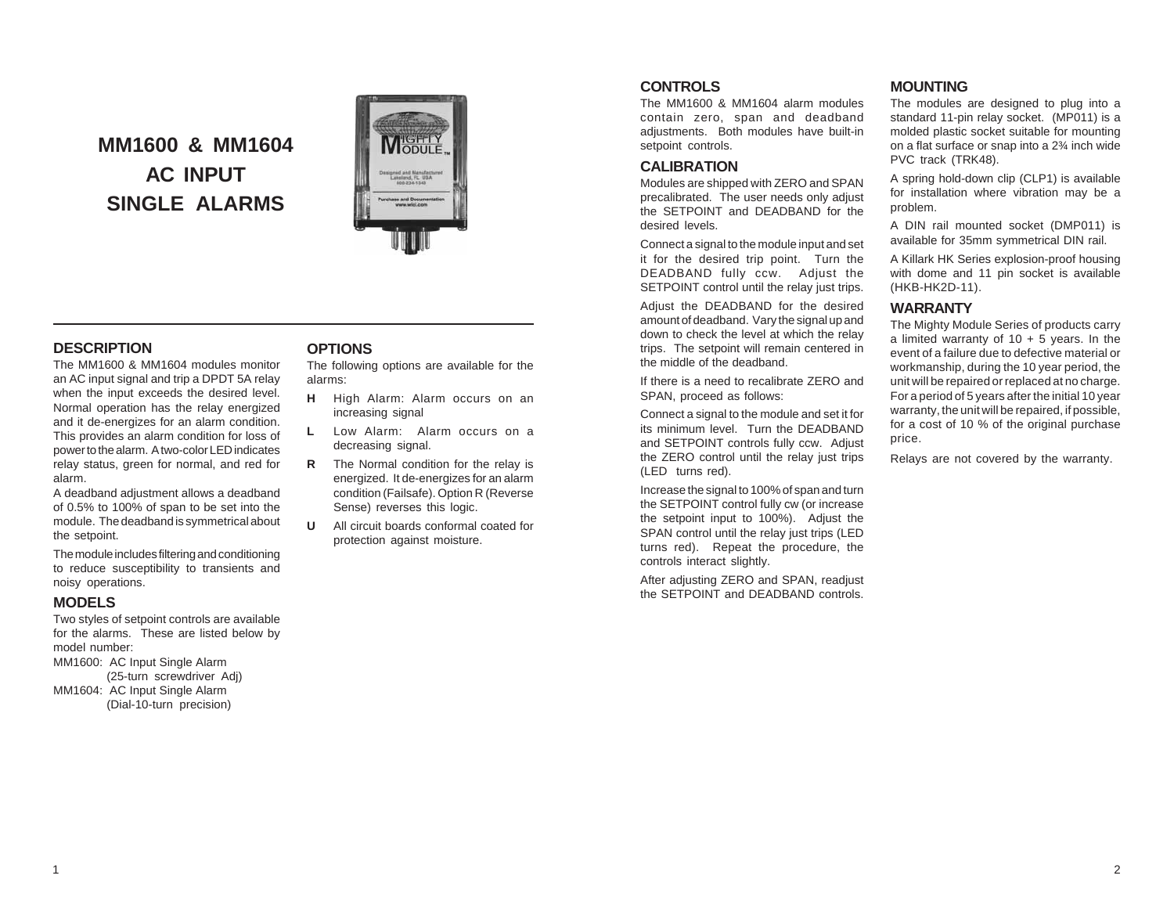# **MM1600 & MM1604 AC INPUT SINGLE ALARMS**



### **DESCRIPTION**

The MM1600 & MM1604 modules monitor an AC input signal and trip a DPDT 5A relay when the input exceeds the desired level. Normal operation has the relay energized and it de-energizes for an alarm condition. This provides an alarm condition for loss of power to the alarm. A two-color LED indicates relay status, green for normal, and red for alarm.

A deadband adjustment allows a deadband of 0.5% to 100% of span to be set into the module. The deadband is symmetrical about the setpoint.

The module includes filtering and conditioning to reduce susceptibility to transients and noisy operations.

### **MODELS**

Two styles of setpoint controls are available for the alarms. These are listed below by model number:

MM1600: AC Input Single Alarm (25-turn screwdriver Adj)

MM1604: AC Input Single Alarm (Dial-10-turn precision)

### **OPTIONS**

The following options are available for the alarms:

- **H** High Alarm: Alarm occurs on an increasing signal
- **L** Low Alarm: Alarm occurs on a decreasing signal.
- **R** The Normal condition for the relay is energized. It de-energizes for an alarm condition (Failsafe). Option R (Reverse Sense) reverses this logic.
- **U** All circuit boards conformal coated for protection against moisture.

### **CONTROLS**

The MM1600 & MM1604 alarm modules contain zero, span and deadband adjustments. Both modules have built-in setpoint controls.

### **CALIBRATION**

Modules are shipped with ZERO and SPAN precalibrated. The user needs only adjust the SETPOINT and DEADBAND for the desired levels.

Connect a signal to the module input and set it for the desired trip point. Turn the DEADBAND fully ccw. Adjust the SETPOINT control until the relay just trips.

Adjust the DEADBAND for the desired amount of deadband. Vary the signal up and down to check the level at which the relay trips. The setpoint will remain centered in the middle of the deadband.

If there is a need to recalibrate ZERO and SPAN, proceed as follows:

Connect a signal to the module and set it for its minimum level. Turn the DEADBAND and SETPOINT controls fully ccw. Adjust the ZERO control until the relay just trips (LED turns red).

Increase the signal to 100% of span and turn the SETPOINT control fully cw (or increase the setpoint input to 100%). Adjust the SPAN control until the relay just trips (LED turns red). Repeat the procedure, the controls interact slightly.

After adjusting ZERO and SPAN, readjust the SETPOINT and DEADBAND controls.

## **MOUNTING**

The modules are designed to plug into a standard 11-pin relay socket. (MP011) is a molded plastic socket suitable for mounting on a flat surface or snap into a 2¾ inch wide PVC track (TRK48).

A spring hold-down clip (CLP1) is available for installation where vibration may be a problem.

A DIN rail mounted socket (DMP011) is available for 35mm symmetrical DIN rail.

A Killark HK Series explosion-proof housing with dome and 11 pin socket is available (HKB-HK2D-11).

### **WARRANTY**

The Mighty Module Series of products carry a limited warranty of  $10 + 5$  years. In the event of a failure due to defective material or workmanship, during the 10 year period, the unit will be repaired or replaced at no charge. For a period of 5 years after the initial 10 year warranty, the unit will be repaired, if possible, for a cost of 10 % of the original purchase price.

Relays are not covered by the warranty.